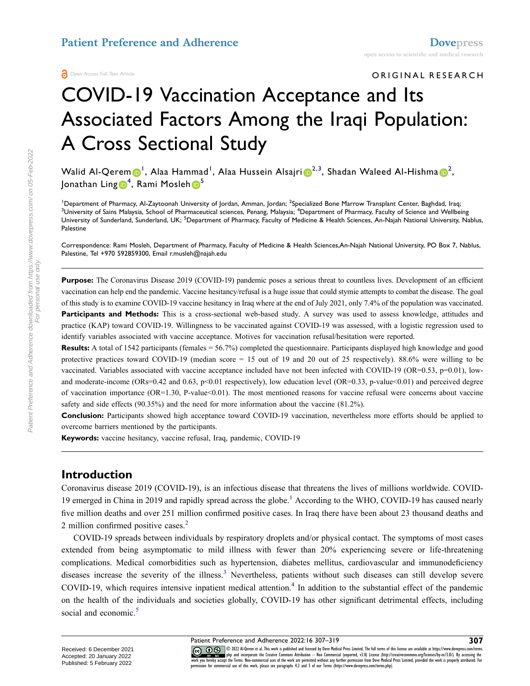#### ORIGINAL RESEARCH

# COVID-19 Vaccination Acceptance and Its Associated Factors Among the Iraqi Population: A Cross Sectional Study

Walid Al-Qerem [1](#page-0-0) , Alaa Hammad[1](#page-0-0) , Alaa Hussein Alsajri [2](#page-0-0),[3](#page-0-1) , Shadan Waleed Al-Hishma [2](#page-0-0) , Jonathan Ling $\pmb{\mathbb{\Theta}}^4$  $\pmb{\mathbb{\Theta}}^4$ , Rami Mosleh $\pmb{\mathbb{\Theta}}^5$  $\pmb{\mathbb{\Theta}}^5$ 

<span id="page-0-2"></span><span id="page-0-1"></span><span id="page-0-0"></span><sup>1</sup>Department of Pharmacy, Al-Zaytoonah University of Jordan, Amman, Jordan; <sup>2</sup>Specialized Bone Marrow Transplant Center, Baghdad, Iraq; <sup>3</sup>University of Sains Malaysia, School of Pharmaceutical sciences, Penang, Malaysia; <sup>4</sup>Department of Pharmacy, Faculty of Science and Wellbeing University of Sunderland, Sunderland, UK; <sup>5</sup>Department of Pharmacy, Faculty of Medicine & Health Sciences, An-Najah National University, Nablus, Palestine

Correspondence: Rami Mosleh, Department of Pharmacy, Faculty of Medicine & Health Sciences,An-Najah National University, PO Box 7, Nablus, Palestine, Tel +970 592859300, Email r.musleh@najah.edu

**Purpose:** The Coronavirus Disease 2019 (COVID-19) pandemic poses a serious threat to countless lives. Development of an efficient vaccination can help end the pandemic. Vaccine hesitancy/refusal is a huge issue that could stymie attempts to combat the disease. The goal of this study is to examine COVID-19 vaccine hesitancy in Iraq where at the end of July 2021, only 7.4% of the population was vaccinated. Participants and Methods: This is a cross-sectional web-based study. A survey was used to assess knowledge, attitudes and practice (KAP) toward COVID-19. Willingness to be vaccinated against COVID-19 was assessed, with a logistic regression used to identify variables associated with vaccine acceptance. Motives for vaccination refusal/hesitation were reported.

**Results:** A total of 1542 participants (females = 56.7%) completed the questionnaire. Participants displayed high knowledge and good protective practices toward COVID-19 (median score = 15 out of 19 and 20 out of 25 respectively). 88.6% were willing to be vaccinated. Variables associated with vaccine acceptance included have not been infected with COVID-19 (OR=0.53,  $p=0.01$ ), lowand moderate-income (ORs=0.42 and 0.63, p<0.01 respectively), low education level (OR=0.33, p-value<0.01) and perceived degree of vaccination importance (OR=1.30, P-value<0.01). The most mentioned reasons for vaccine refusal were concerns about vaccine safety and side effects (90.35%) and the need for more information about the vaccine (81.2%).

**Conclusion:** Participants showed high acceptance toward COVID-19 vaccination, nevertheless more efforts should be applied to overcome barriers mentioned by the participants.

**Keywords:** vaccine hesitancy, vaccine refusal, Iraq, pandemic, COVID-19

# **Introduction**

<span id="page-0-3"></span>Coronavirus disease 2019 (COVID-19), is an infectious disease that threatens the lives of millions worldwide. COVID-[1](#page-10-0)9 emerged in China in 2019 and rapidly spread across the globe.<sup>1</sup> According to the WHO, COVID-19 has caused nearly five million deaths and over 251 million confirmed positive cases. In Iraq there have been about 23 thousand deaths and [2](#page-10-1) million confirmed positive cases.<sup>2</sup>

<span id="page-0-5"></span><span id="page-0-4"></span>COVID-19 spreads between individuals by respiratory droplets and/or physical contact. The symptoms of most cases extended from being asymptomatic to mild illness with fewer than 20% experiencing severe or life-threatening complications. Medical comorbidities such as hypertension, diabetes mellitus, cardiovascular and immunodeficiency diseases increase the severity of the illness.<sup>[3](#page-10-2)</sup> Nevertheless, patients without such diseases can still develop severe COVID-19, which requires intensive inpatient medical attention.<sup>[4](#page-10-3)</sup> In addition to the substantial effect of the pandemic on the health of the individuals and societies globally, COVID-19 has other significant detrimental effects, including social and economic.<sup>[5](#page-11-0)</sup>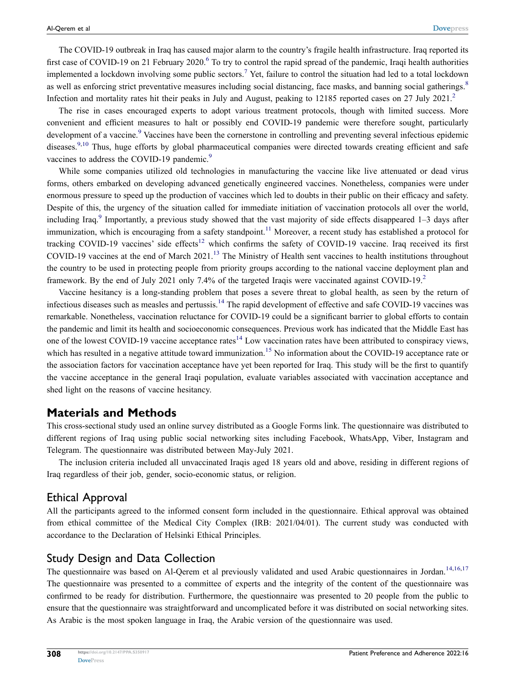<span id="page-1-1"></span><span id="page-1-0"></span>The COVID-19 outbreak in Iraq has caused major alarm to the country's fragile health infrastructure. Iraq reported its first case of COVID-19 on 21 February 2020.<sup>[6](#page-11-1)</sup> To try to control the rapid spread of the pandemic, Iraqi health authorities implemented a lockdown involving some public sectors.<sup>[7](#page-11-2)</sup> Yet, failure to control the situation had led to a total lockdown as well as enforcing strict preventative measures including social distancing, face masks, and banning social gatherings.<sup>[8](#page-11-3)</sup> Infection and mortality rates hit their peaks in July and August, peaking to 1[2](#page-10-1)185 reported cases on 27 July 2021.<sup>2</sup>

<span id="page-1-2"></span>The rise in cases encouraged experts to adopt various treatment protocols, though with limited success. More convenient and efficient measures to halt or possibly end COVID-19 pandemic were therefore sought, particularly development of a vaccine.<sup>[9](#page-11-4)</sup> Vaccines have been the cornerstone in controlling and preventing several infectious epidemic diseases.<sup>9,[10](#page-11-5)</sup> Thus, huge efforts by global pharmaceutical companies were directed towards creating efficient and safe vaccines to address the COVID-1[9](#page-11-4) pandemic.<sup>9</sup>

<span id="page-1-5"></span><span id="page-1-4"></span><span id="page-1-3"></span>While some companies utilized old technologies in manufacturing the vaccine like live attenuated or dead virus forms, others embarked on developing advanced genetically engineered vaccines. Nonetheless, companies were under enormous pressure to speed up the production of vaccines which led to doubts in their public on their efficacy and safety. Despite of this, the urgency of the situation called for immediate initiation of vaccination protocols all over the world, including Iraq.<sup>[9](#page-11-4)</sup> Importantly, a previous study showed that the vast majority of side effects disappeared 1–3 days after immunization, which is encouraging from a safety standpoint.<sup>[11](#page-11-6)</sup> Moreover, a recent study has established a protocol for tracking COVID-19 vaccines' side effects<sup>12</sup> which confirms the safety of COVID-19 vaccine. Iraq received its first COVID-19 vaccines at the end of March 2021.<sup>[13](#page-11-8)</sup> The Ministry of Health sent vaccines to health institutions throughout the country to be used in protecting people from priority groups according to the national vaccine deployment plan and framework. By the end of July 2021 only 7.4% of the targeted Iraqis were vaccinated against COVID-19.[2](#page-10-1)

<span id="page-1-9"></span><span id="page-1-7"></span><span id="page-1-6"></span>Vaccine hesitancy is a long-standing problem that poses a severe threat to global health, as seen by the return of infectious diseases such as measles and pertussis.<sup>[14](#page-11-9)</sup> The rapid development of effective and safe COVID-19 vaccines was remarkable. Nonetheless, vaccination reluctance for COVID-19 could be a significant barrier to global efforts to contain the pandemic and limit its health and socioeconomic consequences. Previous work has indicated that the Middle East has one of the lowest COVID-19 vaccine acceptance rates<sup>[14](#page-11-9)</sup> Low vaccination rates have been attributed to conspiracy views, which has resulted in a negative attitude toward immunization.<sup>[15](#page-11-10)</sup> No information about the COVID-19 acceptance rate or the association factors for vaccination acceptance have yet been reported for Iraq. This study will be the first to quantify the vaccine acceptance in the general Iraqi population, evaluate variables associated with vaccination acceptance and shed light on the reasons of vaccine hesitancy.

## **Materials and Methods**

This cross-sectional study used an online survey distributed as a Google Forms link. The questionnaire was distributed to different regions of Iraq using public social networking sites including Facebook, WhatsApp, Viber, Instagram and Telegram. The questionnaire was distributed between May-July 2021.

The inclusion criteria included all unvaccinated Iraqis aged 18 years old and above, residing in different regions of Iraq regardless of their job, gender, socio-economic status, or religion.

## Ethical Approval

All the participants agreed to the informed consent form included in the questionnaire. Ethical approval was obtained from ethical committee of the Medical City Complex (IRB: 2021/04/01). The current study was conducted with accordance to the Declaration of Helsinki Ethical Principles.

## Study Design and Data Collection

<span id="page-1-8"></span>The questionnaire was based on Al-Qerem et al previously validated and used Arabic questionnaires in Jordan.<sup>14,[16](#page-11-11),[17](#page-11-12)</sup> The questionnaire was presented to a committee of experts and the integrity of the content of the questionnaire was confirmed to be ready for distribution. Furthermore, the questionnaire was presented to 20 people from the public to ensure that the questionnaire was straightforward and uncomplicated before it was distributed on social networking sites. As Arabic is the most spoken language in Iraq, the Arabic version of the questionnaire was used.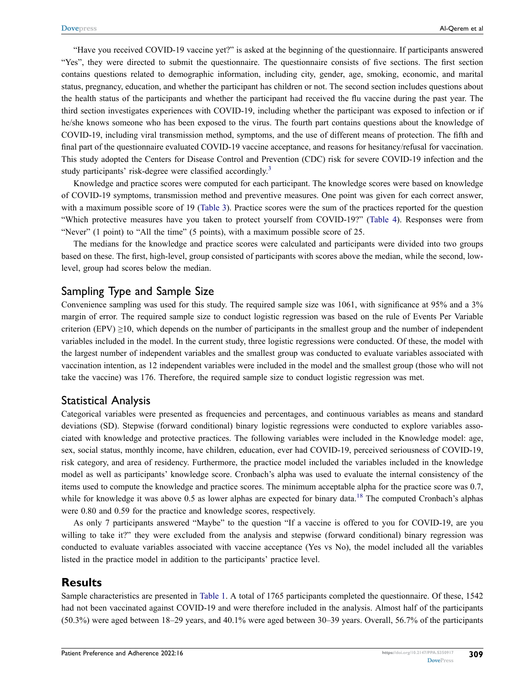"Have you received COVID-19 vaccine yet?" is asked at the beginning of the questionnaire. If participants answered "Yes", they were directed to submit the questionnaire. The questionnaire consists of five sections. The first section contains questions related to demographic information, including city, gender, age, smoking, economic, and marital status, pregnancy, education, and whether the participant has children or not. The second section includes questions about the health status of the participants and whether the participant had received the flu vaccine during the past year. The third section investigates experiences with COVID-19, including whether the participant was exposed to infection or if he/she knows someone who has been exposed to the virus. The fourth part contains questions about the knowledge of COVID-19, including viral transmission method, symptoms, and the use of different means of protection. The fifth and final part of the questionnaire evaluated COVID-19 vaccine acceptance, and reasons for hesitancy/refusal for vaccination. This study adopted the Centers for Disease Control and Prevention (CDC) risk for severe COVID-19 infection and the study participants' risk-degree were classified accordingly.<sup>[3](#page-10-2)</sup>

Knowledge and practice scores were computed for each participant. The knowledge scores were based on knowledge of COVID-19 symptoms, transmission method and preventive measures. One point was given for each correct answer, with a maximum possible score of 19 ([Table 3\)](#page-5-0). Practice scores were the sum of the practices reported for the question "Which protective measures have you taken to protect yourself from COVID-19?" [\(Table 4\)](#page-6-0). Responses were from "Never" (1 point) to "All the time" (5 points), with a maximum possible score of 25.

The medians for the knowledge and practice scores were calculated and participants were divided into two groups based on these. The first, high-level, group consisted of participants with scores above the median, while the second, lowlevel, group had scores below the median.

#### Sampling Type and Sample Size

Convenience sampling was used for this study. The required sample size was 1061, with significance at 95% and a 3% margin of error. The required sample size to conduct logistic regression was based on the rule of Events Per Variable criterion (EPV)  $\geq$ 10, which depends on the number of participants in the smallest group and the number of independent variables included in the model. In the current study, three logistic regressions were conducted. Of these, the model with the largest number of independent variables and the smallest group was conducted to evaluate variables associated with vaccination intention, as 12 independent variables were included in the model and the smallest group (those who will not take the vaccine) was 176. Therefore, the required sample size to conduct logistic regression was met.

#### Statistical Analysis

Categorical variables were presented as frequencies and percentages, and continuous variables as means and standard deviations (SD). Stepwise (forward conditional) binary logistic regressions were conducted to explore variables associated with knowledge and protective practices. The following variables were included in the Knowledge model: age, sex, social status, monthly income, have children, education, ever had COVID-19, perceived seriousness of COVID-19, risk category, and area of residency. Furthermore, the practice model included the variables included in the knowledge model as well as participants' knowledge score. Cronbach's alpha was used to evaluate the internal consistency of the items used to compute the knowledge and practice scores. The minimum acceptable alpha for the practice score was 0.7, while for knowledge it was above 0.5 as lower alphas are expected for binary data.<sup>[18](#page-11-13)</sup> The computed Cronbach's alphas were 0.80 and 0.59 for the practice and knowledge scores, respectively.

<span id="page-2-0"></span>As only 7 participants answered "Maybe" to the question "If a vaccine is offered to you for COVID-19, are you willing to take it?" they were excluded from the analysis and stepwise (forward conditional) binary regression was conducted to evaluate variables associated with vaccine acceptance (Yes vs No), the model included all the variables listed in the practice model in addition to the participants' practice level.

## **Results**

Sample characteristics are presented in [Table 1.](#page-3-0) A total of 1765 participants completed the questionnaire. Of these, 1542 had not been vaccinated against COVID-19 and were therefore included in the analysis. Almost half of the participants (50.3%) were aged between 18–29 years, and 40.1% were aged between 30–39 years. Overall, 56.7% of the participants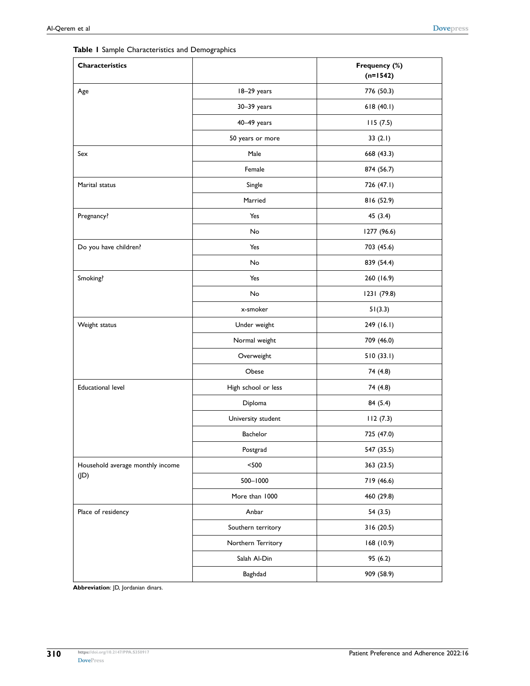<span id="page-3-0"></span>

|  |  | Table I Sample Characteristics and Demographics |  |  |
|--|--|-------------------------------------------------|--|--|
|--|--|-------------------------------------------------|--|--|

| Characteristics                  |                     | Frequency (%)<br>$(n=1542)$ |
|----------------------------------|---------------------|-----------------------------|
| Age                              | 18-29 years         | 776 (50.3)                  |
|                                  | 30-39 years         | 618(40.1)                   |
|                                  | 40-49 years         | 115(7.5)                    |
|                                  | 50 years or more    | 33 $(2.1)$                  |
| Sex                              | Male                | 668 (43.3)                  |
|                                  | Female              | 874 (56.7)                  |
| Marital status                   | Single              | 726 (47.1)                  |
|                                  | Married             | 816 (52.9)                  |
| Pregnancy?                       | Yes                 | 45 (3.4)                    |
|                                  | No                  | 1277 (96.6)                 |
| Do you have children?            | Yes                 | 703 (45.6)                  |
|                                  | No                  | 839 (54.4)                  |
| Smoking?                         | Yes                 | 260 (16.9)                  |
|                                  | No                  | 1231 (79.8)                 |
|                                  | x-smoker            | 51(3.3)                     |
| Weight status                    | Under weight        | 249 (16.1)                  |
|                                  | Normal weight       | 709 (46.0)                  |
|                                  | Overweight          | 510(33.1)                   |
|                                  | Obese               | 74 (4.8)                    |
| <b>Educational level</b>         | High school or less | 74 (4.8)                    |
|                                  | Diploma             | 84 (5.4)                    |
|                                  | University student  | 112(7.3)                    |
|                                  | Bachelor            | 725 (47.0)                  |
|                                  | Postgrad            | 547 (35.5)                  |
| Household average monthly income | $<$ 500 $\,$        | 363 (23.5)                  |
| (JD)                             | 500-1000            | 719 (46.6)                  |
|                                  | More than 1000      | 460 (29.8)                  |
| Place of residency               | Anbar               | 54(3.5)                     |
|                                  | Southern territory  | 316(20.5)                   |
|                                  | Northern Territory  | 168 (10.9)                  |
|                                  | Salah Al-Din        | 95(6.2)                     |
|                                  | Baghdad             | 909 (58.9)                  |

**Abbreviation**: JD, Jordanian dinars.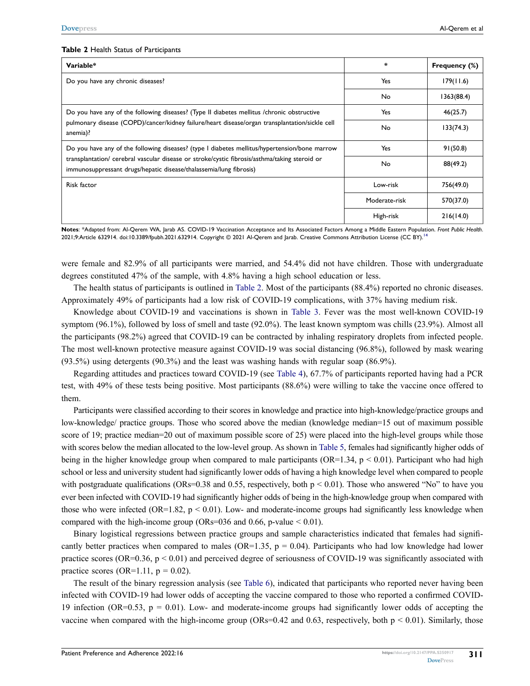#### <span id="page-4-0"></span>**Table 2** Health Status of Participants

| Variable*                                                                                                                                                           | $\star$       | Frequency (%) |
|---------------------------------------------------------------------------------------------------------------------------------------------------------------------|---------------|---------------|
| Do you have any chronic diseases?                                                                                                                                   | Yes           | 179(11.6)     |
|                                                                                                                                                                     | No            | 1363(88.4)    |
| Do you have any of the following diseases? (Type II diabetes mellitus /chronic obstructive                                                                          | Yes           | 46(25.7)      |
| pulmonary disease (COPD)/cancer/kidney failure/heart disease/organ transplantation/sickle cell<br>anemia)?                                                          | No            | 133(74.3)     |
| Do you have any of the following diseases? (type I diabetes mellitus/hypertension/bone marrow                                                                       | Yes           | 91(50.8)      |
| transplantation/ cerebral vascular disease or stroke/cystic fibrosis/asthma/taking steroid or<br>immunosuppressant drugs/hepatic disease/thalassemia/lung fibrosis) | No            | 88(49.2)      |
| Risk factor                                                                                                                                                         | Low-risk      | 756(49.0)     |
|                                                                                                                                                                     | Moderate-risk | 570(37.0)     |
|                                                                                                                                                                     | High-risk     | 216(14.0)     |

**Notes**: \*Adapted from: Al-Qerem WA, Jarab AS. COVID-19 Vaccination Acceptance and Its Associated Factors Among a Middle Eastern Population. *Front Public Health*. 2021;9:Article 6329[14](#page-11-9). doi:10.3389/fpubh.2021.632914. Copyright @ 2021 Al-Qerem and Jarab. Creative Commons Attribution License (CC BY).<sup>14</sup>

were female and 82.9% of all participants were married, and 54.4% did not have children. Those with undergraduate degrees constituted 47% of the sample, with 4.8% having a high school education or less.

The health status of participants is outlined in [Table 2](#page-4-0). Most of the participants (88.4%) reported no chronic diseases. Approximately 49% of participants had a low risk of COVID-19 complications, with 37% having medium risk.

Knowledge about COVID-19 and vaccinations is shown in [Table 3](#page-5-0). Fever was the most well-known COVID-19 symptom (96.1%), followed by loss of smell and taste (92.0%). The least known symptom was chills (23.9%). Almost all the participants (98.2%) agreed that COVID-19 can be contracted by inhaling respiratory droplets from infected people. The most well-known protective measure against COVID-19 was social distancing (96.8%), followed by mask wearing (93.5%) using detergents (90.3%) and the least was washing hands with regular soap (86.9%).

Regarding attitudes and practices toward COVID-19 (see [Table 4\)](#page-6-0), 67.7% of participants reported having had a PCR test, with 49% of these tests being positive. Most participants (88.6%) were willing to take the vaccine once offered to them.

Participants were classified according to their scores in knowledge and practice into high-knowledge/practice groups and low-knowledge/ practice groups. Those who scored above the median (knowledge median=15 out of maximum possible score of 19; practice median=20 out of maximum possible score of 25) were placed into the high-level groups while those with scores below the median allocated to the low-level group. As shown in [Table 5,](#page-7-0) females had significantly higher odds of being in the higher knowledge group when compared to male participants (OR=1.34,  $p < 0.01$ ). Participant who had high school or less and university student had significantly lower odds of having a high knowledge level when compared to people with postgraduate qualifications (ORs=0.38 and 0.55, respectively, both  $p \le 0.01$ ). Those who answered "No" to have you ever been infected with COVID-19 had significantly higher odds of being in the high-knowledge group when compared with those who were infected (OR=1.82,  $p < 0.01$ ). Low- and moderate-income groups had significantly less knowledge when compared with the high-income group (ORs=036 and 0.66, p-value  $< 0.01$ ).

Binary logistical regressions between practice groups and sample characteristics indicated that females had significantly better practices when compared to males (OR=1.35,  $p = 0.04$ ). Participants who had low knowledge had lower practice scores (OR=0.36,  $p < 0.01$ ) and perceived degree of seriousness of COVID-19 was significantly associated with practice scores (OR=1.11,  $p = 0.02$ ).

The result of the binary regression analysis (see [Table 6\)](#page-8-0), indicated that participants who reported never having been infected with COVID-19 had lower odds of accepting the vaccine compared to those who reported a confirmed COVID-19 infection (OR=0.53,  $p = 0.01$ ). Low- and moderate-income groups had significantly lower odds of accepting the vaccine when compared with the high-income group (ORs=0.42 and 0.63, respectively, both  $p \le 0.01$ ). Similarly, those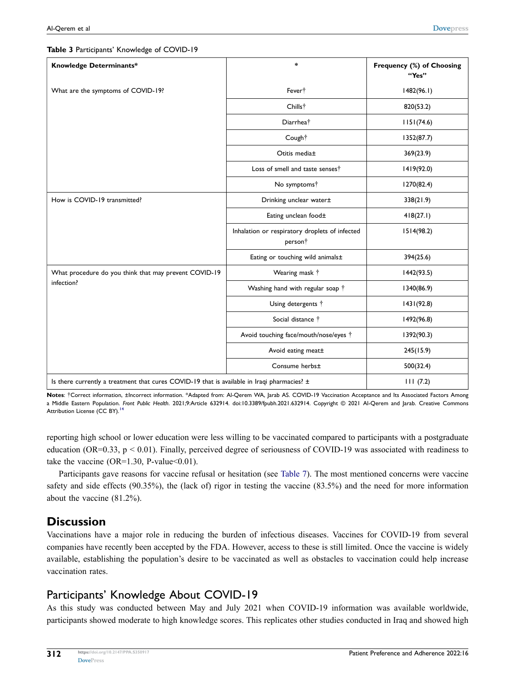<span id="page-5-0"></span>**Table 3** Participants' Knowledge of COVID-19

| Knowledge Determinants*                                                                         | $\ast$                                                                | Frequency (%) of Choosing<br>"Yes" |
|-------------------------------------------------------------------------------------------------|-----------------------------------------------------------------------|------------------------------------|
| What are the symptoms of COVID-19?                                                              | Fever <sup>†</sup>                                                    | 1482(96.1)                         |
|                                                                                                 | Chills <sup>†</sup>                                                   | 820(53.2)                          |
|                                                                                                 | Diarrhea <sup>†</sup>                                                 | 1151(74.6)                         |
|                                                                                                 | Cough†                                                                | 1352(87.7)                         |
|                                                                                                 | Otitis media±                                                         | 369(23.9)                          |
|                                                                                                 | Loss of smell and taste senses <sup>†</sup>                           | 1419(92.0)                         |
|                                                                                                 | No symptoms†                                                          | 1270(82.4)                         |
| How is COVID-19 transmitted?                                                                    | Drinking unclear water±                                               | 338(21.9)                          |
|                                                                                                 | Eating unclean food±                                                  | 418(27.1)                          |
|                                                                                                 | Inhalation or respiratory droplets of infected<br>person <sup>+</sup> | 1514(98.2)                         |
|                                                                                                 | Eating or touching wild animals±                                      | 394(25.6)                          |
| What procedure do you think that may prevent COVID-19                                           | Wearing mask †                                                        | 1442(93.5)                         |
| infection?                                                                                      | Washing hand with regular soap †                                      | 1340(86.9)                         |
|                                                                                                 | Using detergents <sup>†</sup>                                         | 1431(92.8)                         |
|                                                                                                 | Social distance <sup>+</sup>                                          | 1492(96.8)                         |
|                                                                                                 | Avoid touching face/mouth/nose/eyes <sup>+</sup>                      | 1392(90.3)                         |
|                                                                                                 | Avoid eating meat±                                                    | 245(15.9)                          |
|                                                                                                 | Consume herbs±                                                        | 500(32.4)                          |
| Is there currently a treatment that cures COVID-19 that is available in Iraqi pharmacies? $\pm$ | 111(7.2)                                                              |                                    |

**Notes**: †Correct information, ±Incorrect information. \*Adapted from: Al-Qerem WA, Jarab AS. COVID-19 Vaccination Acceptance and Its Associated Factors Among a Middle Eastern Population. *Front Public Health*. 2021;9:Article 632914. doi:10.3389/fpubh.2021.632914. Copyright © 2021 Al-Qerem and Jarab. Creative Commons Attribution License (CC BY).<sup>[14](#page-11-9)</sup>

reporting high school or lower education were less willing to be vaccinated compared to participants with a postgraduate education (OR=0.33,  $p < 0.01$ ). Finally, perceived degree of seriousness of COVID-19 was associated with readiness to take the vaccine (OR=1.30, P-value< $0.01$ ).

Participants gave reasons for vaccine refusal or hesitation (see [Table 7\)](#page-9-0). The most mentioned concerns were vaccine safety and side effects (90.35%), the (lack of) rigor in testing the vaccine (83.5%) and the need for more information about the vaccine (81.2%).

# **Discussion**

Vaccinations have a major role in reducing the burden of infectious diseases. Vaccines for COVID-19 from several companies have recently been accepted by the FDA. However, access to these is still limited. Once the vaccine is widely available, establishing the population's desire to be vaccinated as well as obstacles to vaccination could help increase vaccination rates.

# Participants' Knowledge About COVID-19

As this study was conducted between May and July 2021 when COVID-19 information was available worldwide, participants showed moderate to high knowledge scores. This replicates other studies conducted in Iraq and showed high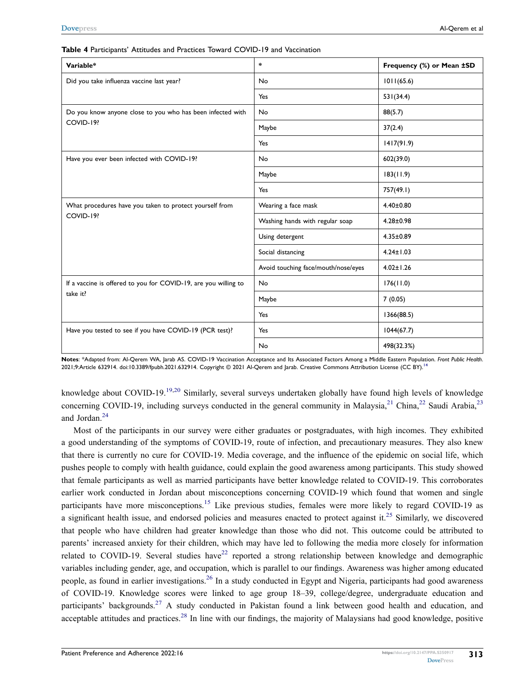| Variable*                                                       | $\star$                             | Frequency (%) or Mean ±SD |
|-----------------------------------------------------------------|-------------------------------------|---------------------------|
| Did you take influenza vaccine last year?                       | No                                  | 1011(65.6)                |
|                                                                 | Yes                                 | 531(34.4)                 |
| Do you know anyone close to you who has been infected with      | No                                  | 88(5.7)                   |
| COVID-19?                                                       | Maybe                               | 37(2.4)                   |
|                                                                 | Yes                                 | 1417(91.9)                |
| Have you ever been infected with COVID-19?                      | No                                  | 602(39.0)                 |
|                                                                 | Maybe                               | 183(11.9)                 |
|                                                                 | Yes                                 | 757(49.1)                 |
| What procedures have you taken to protect yourself from         | Wearing a face mask                 | $4.40 \pm 0.80$           |
| COVID-19?                                                       | Washing hands with regular soap     | $4.28 \pm 0.98$           |
|                                                                 | Using detergent                     | $4.35 \pm 0.89$           |
|                                                                 | Social distancing                   | $4.24 \pm 1.03$           |
|                                                                 | Avoid touching face/mouth/nose/eyes | $4.02 \pm 1.26$           |
| If a vaccine is offered to you for COVID-19, are you willing to | No                                  | 176(11.0)                 |
| take it?                                                        | Maybe                               | 7(0.05)                   |
|                                                                 | Yes                                 | 1366(88.5)                |
| Have you tested to see if you have COVID-19 (PCR test)?         | Yes                                 | 1044(67.7)                |
|                                                                 | No                                  | 498(32.3%)                |

<span id="page-6-0"></span>**Table 4** Participants' Attitudes and Practices Toward COVID-19 and Vaccination

**Notes**: \*Adapted from: Al-Qerem WA, Jarab AS. COVID-19 Vaccination Acceptance and Its Associated Factors Among a Middle Eastern Population. *Front Public Health*. 2021;9:Article 6329[14](#page-11-9). doi:10.3389/fpubh.2021.632914. Copyright @ 2021 Al-Qerem and Jarab. Creative Commons Attribution License (CC BY).<sup>14</sup>

<span id="page-6-2"></span><span id="page-6-1"></span>knowledge about COVID-[19](#page-11-14).<sup>19[,20](#page-11-15)</sup> Similarly, several surveys undertaken globally have found high levels of knowledge concerning COVID-19, including surveys conducted in the general community in Malaysia,<sup>[21](#page-11-16)</sup> China,<sup>22</sup> Saudi Arabia,<sup>[23](#page-11-18)</sup> and Jordan.[24](#page-11-19)

<span id="page-6-8"></span><span id="page-6-7"></span><span id="page-6-6"></span><span id="page-6-5"></span><span id="page-6-4"></span><span id="page-6-3"></span>Most of the participants in our survey were either graduates or postgraduates, with high incomes. They exhibited a good understanding of the symptoms of COVID-19, route of infection, and precautionary measures. They also knew that there is currently no cure for COVID-19. Media coverage, and the influence of the epidemic on social life, which pushes people to comply with health guidance, could explain the good awareness among participants. This study showed that female participants as well as married participants have better knowledge related to COVID-19. This corroborates earlier work conducted in Jordan about misconceptions concerning COVID-19 which found that women and single participants have more misconceptions.[15](#page-11-10) Like previous studies, females were more likely to regard COVID-19 as a significant health issue, and endorsed policies and measures enacted to protect against it.<sup>25</sup> Similarly, we discovered that people who have children had greater knowledge than those who did not. This outcome could be attributed to parents' increased anxiety for their children, which may have led to following the media more closely for information related to COVID-19. Several studies have<sup>[22](#page-11-17)</sup> reported a strong relationship between knowledge and demographic variables including gender, age, and occupation, which is parallel to our findings. Awareness was higher among educated people, as found in earlier investigations[.26](#page-11-21) In a study conducted in Egypt and Nigeria, participants had good awareness of COVID-19. Knowledge scores were linked to age group 18–39, college/degree, undergraduate education and participants' backgrounds.<sup>[27](#page-11-22)</sup> A study conducted in Pakistan found a link between good health and education, and acceptable attitudes and practices.<sup>[28](#page-11-23)</sup> In line with our findings, the majority of Malaysians had good knowledge, positive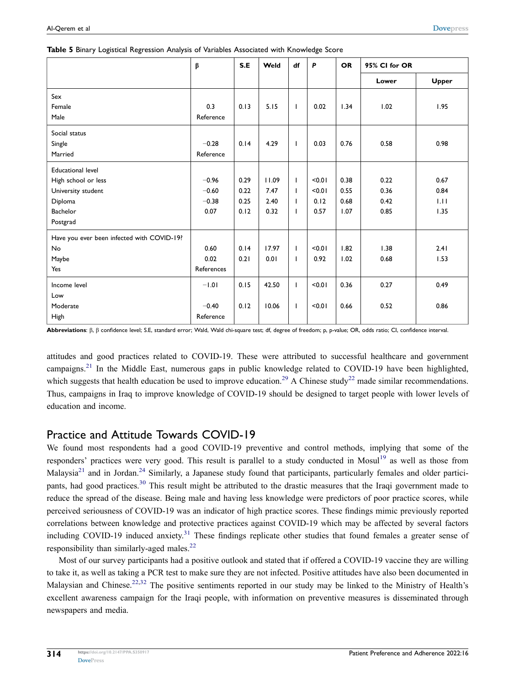|                                            | $\boldsymbol{\beta}$ | S.E  | Weld  | df           | P      | <b>OR</b> | 95% CI for OR |              |
|--------------------------------------------|----------------------|------|-------|--------------|--------|-----------|---------------|--------------|
|                                            |                      |      |       |              |        |           | Lower         | <b>Upper</b> |
| Sex                                        |                      |      |       |              |        |           |               |              |
| Female                                     | 0.3                  | 0.13 | 5.15  | $\mathbf{I}$ | 0.02   | 1.34      | 1.02          | 1.95         |
| Male                                       | Reference            |      |       |              |        |           |               |              |
| Social status                              |                      |      |       |              |        |           |               |              |
| Single                                     | $-0.28$              | 0.14 | 4.29  | $\mathbf{I}$ | 0.03   | 0.76      | 0.58          | 0.98         |
| Married                                    | Reference            |      |       |              |        |           |               |              |
| <b>Educational level</b>                   |                      |      |       |              |        |           |               |              |
| High school or less                        | $-0.96$              | 0.29 | 11.09 | $\mathbf{I}$ | < 0.01 | 0.38      | 0.22          | 0.67         |
| University student                         | $-0.60$              | 0.22 | 7.47  | $\mathbf{I}$ | < 0.01 | 0.55      | 0.36          | 0.84         |
| Diploma                                    | $-0.38$              | 0.25 | 2.40  | $\mathbf{I}$ | 0.12   | 0.68      | 0.42          | 1.11         |
| <b>Bachelor</b>                            | 0.07                 | 0.12 | 0.32  | $\mathbf{I}$ | 0.57   | 1.07      | 0.85          | 1.35         |
| Postgrad                                   |                      |      |       |              |        |           |               |              |
| Have you ever been infected with COVID-19? |                      |      |       |              |        |           |               |              |
| No                                         | 0.60                 | 0.14 | 17.97 | $\mathbf{I}$ | < 0.01 | 1.82      | 1.38          | 2.41         |
| Maybe                                      | 0.02                 | 0.21 | 0.01  | $\mathbf{I}$ | 0.92   | 1.02      | 0.68          | 1.53         |
| Yes                                        | References           |      |       |              |        |           |               |              |
| Income level                               | $-1.01$              | 0.15 | 42.50 | $\mathbf{I}$ | < 0.01 | 0.36      | 0.27          | 0.49         |
| Low                                        |                      |      |       |              |        |           |               |              |
| Moderate                                   | $-0.40$              | 0.12 | 10.06 | $\mathbf{I}$ | < 0.01 | 0.66      | 0.52          | 0.86         |
| High                                       | Reference            |      |       |              |        |           |               |              |

<span id="page-7-0"></span>

|  |  |  | Table 5 Binary Logistical Regression Analysis of Variables Associated with Knowledge Score |  |  |
|--|--|--|--------------------------------------------------------------------------------------------|--|--|
|  |  |  |                                                                                            |  |  |

**Abbreviations**: β, β confidence level; S.E, standard error; Wald, Wald chi-square test; df, degree of freedom; p, p-value; OR, odds ratio; CI, confidence interval.

<span id="page-7-1"></span>attitudes and good practices related to COVID-19. These were attributed to successful healthcare and government campaigns[.21](#page-11-16) In the Middle East, numerous gaps in public knowledge related to COVID-19 have been highlighted, which suggests that health education be used to improve education.<sup>[29](#page-11-24)</sup> A Chinese study<sup>[22](#page-11-17)</sup> made similar recommendations. Thus, campaigns in Iraq to improve knowledge of COVID-19 should be designed to target people with lower levels of education and income.

# Practice and Attitude Towards COVID-19

<span id="page-7-2"></span>We found most respondents had a good COVID-19 preventive and control methods, implying that some of the responders' practices were very good. This result is parallel to a study conducted in Mosul<sup>[19](#page-11-14)</sup> as well as those from Malaysia<sup>[21](#page-11-16)</sup> and in Jordan.<sup>[24](#page-11-19)</sup> Similarly, a Japanese study found that participants, particularly females and older partici-pants, had good practices.<sup>[30](#page-11-25)</sup> This result might be attributed to the drastic measures that the Iraqi government made to reduce the spread of the disease. Being male and having less knowledge were predictors of poor practice scores, while perceived seriousness of COVID-19 was an indicator of high practice scores. These findings mimic previously reported correlations between knowledge and protective practices against COVID-19 which may be affected by several factors including COVID-19 induced anxiety.<sup>31</sup> These findings replicate other studies that found females a greater sense of responsibility than similarly-aged males.<sup>22</sup>

<span id="page-7-4"></span><span id="page-7-3"></span>Most of our survey participants had a positive outlook and stated that if offered a COVID-19 vaccine they are willing to take it, as well as taking a PCR test to make sure they are not infected. Positive attitudes have also been documented in Malaysian and Chinese.<sup>[22](#page-11-17),[32](#page-11-27)</sup> The positive sentiments reported in our study may be linked to the Ministry of Health's excellent awareness campaign for the Iraqi people, with information on preventive measures is disseminated through newspapers and media.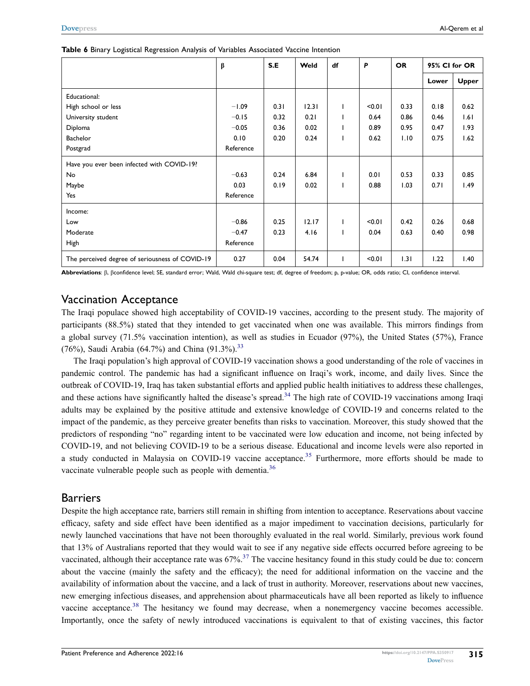|                                                 | β         | S.E  | Weld  | df | P      | <b>OR</b> | 95% CI for OR |              |
|-------------------------------------------------|-----------|------|-------|----|--------|-----------|---------------|--------------|
|                                                 |           |      |       |    |        |           | Lower         | <b>Upper</b> |
| Educational:                                    |           |      |       |    |        |           |               |              |
| High school or less                             | $-1.09$   | 0.31 | 12.31 |    | < 0.01 | 0.33      | 0.18          | 0.62         |
| University student                              | $-0.15$   | 0.32 | 0.21  |    | 0.64   | 0.86      | 0.46          | 1.61         |
| Diploma                                         | $-0.05$   | 0.36 | 0.02  |    | 0.89   | 0.95      | 0.47          | 1.93         |
| Bachelor                                        | 0.10      | 0.20 | 0.24  |    | 0.62   | 1.10      | 0.75          | 1.62         |
| Postgrad                                        | Reference |      |       |    |        |           |               |              |
| Have you ever been infected with COVID-19?      |           |      |       |    |        |           |               |              |
| No                                              | $-0.63$   | 0.24 | 6.84  |    | 0.01   | 0.53      | 0.33          | 0.85         |
| Maybe                                           | 0.03      | 0.19 | 0.02  |    | 0.88   | 1.03      | 0.71          | 1.49         |
| Yes                                             | Reference |      |       |    |        |           |               |              |
| Income:                                         |           |      |       |    |        |           |               |              |
| Low                                             | $-0.86$   | 0.25 | 12.17 |    | < 0.01 | 0.42      | 0.26          | 0.68         |
| Moderate                                        | $-0.47$   | 0.23 | 4.16  |    | 0.04   | 0.63      | 0.40          | 0.98         |
| High                                            | Reference |      |       |    |        |           |               |              |
| The perceived degree of seriousness of COVID-19 | 0.27      | 0.04 | 54.74 |    | < 0.01 | 1.31      | 1.22          | 1.40         |

#### <span id="page-8-0"></span>**Table 6** Binary Logistical Regression Analysis of Variables Associated Vaccine Intention

**Abbreviations**: β, βconfidence level; SE, standard error; Wald, Wald chi-square test; df, degree of freedom; p, p-value; OR, odds ratio; CI, confidence interval.

## Vaccination Acceptance

The Iraqi populace showed high acceptability of COVID-19 vaccines, according to the present study. The majority of participants (88.5%) stated that they intended to get vaccinated when one was available. This mirrors findings from a global survey (71.5% vaccination intention), as well as studies in Ecuador (97%), the United States (57%), France (76%), Saudi Arabia (64.7%) and China (91.3%).<sup>[33](#page-11-28)</sup>

<span id="page-8-2"></span><span id="page-8-1"></span>The Iraqi population's high approval of COVID-19 vaccination shows a good understanding of the role of vaccines in pandemic control. The pandemic has had a significant influence on Iraqi's work, income, and daily lives. Since the outbreak of COVID-19, Iraq has taken substantial efforts and applied public health initiatives to address these challenges, and these actions have significantly halted the disease's spread.<sup>34</sup> The high rate of COVID-19 vaccinations among Iraqi adults may be explained by the positive attitude and extensive knowledge of COVID-19 and concerns related to the impact of the pandemic, as they perceive greater benefits than risks to vaccination. Moreover, this study showed that the predictors of responding "no" regarding intent to be vaccinated were low education and income, not being infected by COVID-19, and not believing COVID-19 to be a serious disease. Educational and income levels were also reported in a study conducted in Malaysia on COVID-19 vaccine acceptance.<sup>[35](#page-11-30)</sup> Furthermore, more efforts should be made to vaccinate vulnerable people such as people with dementia.<sup>[36](#page-11-31)</sup>

## <span id="page-8-4"></span><span id="page-8-3"></span>Barriers

<span id="page-8-6"></span><span id="page-8-5"></span>Despite the high acceptance rate, barriers still remain in shifting from intention to acceptance. Reservations about vaccine efficacy, safety and side effect have been identified as a major impediment to vaccination decisions, particularly for newly launched vaccinations that have not been thoroughly evaluated in the real world. Similarly, previous work found that 13% of Australians reported that they would wait to see if any negative side effects occurred before agreeing to be vaccinated, although their acceptance rate was  $67\%$ <sup>37</sup> The vaccine hesitancy found in this study could be due to: concern about the vaccine (mainly the safety and the efficacy); the need for additional information on the vaccine and the availability of information about the vaccine, and a lack of trust in authority. Moreover, reservations about new vaccines, new emerging infectious diseases, and apprehension about pharmaceuticals have all been reported as likely to influence vaccine acceptance.<sup>[38](#page-12-0)</sup> The hesitancy we found may decrease, when a nonemergency vaccine becomes accessible. Importantly, once the safety of newly introduced vaccinations is equivalent to that of existing vaccines, this factor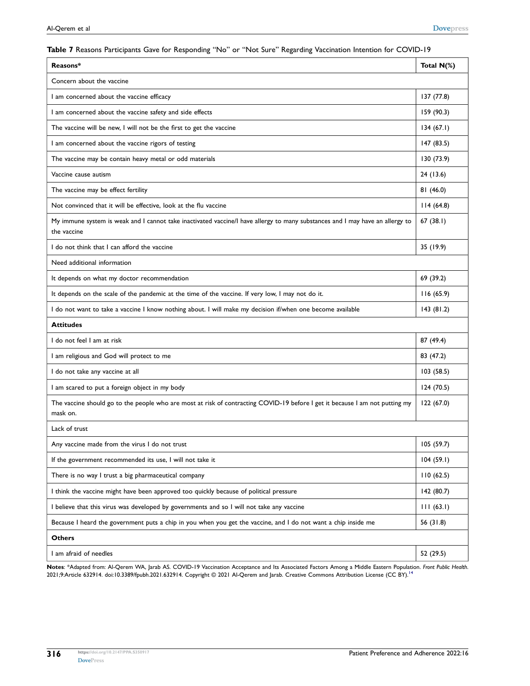#### <span id="page-9-0"></span>**Table 7** Reasons Participants Gave for Responding "No" or "Not Sure" Regarding Vaccination Intention for COVID-19

| Reasons*                                                                                                                                     | Total N(%) |
|----------------------------------------------------------------------------------------------------------------------------------------------|------------|
| Concern about the vaccine                                                                                                                    |            |
| I am concerned about the vaccine efficacy                                                                                                    | 137 (77.8) |
| I am concerned about the vaccine safety and side effects                                                                                     | 159 (90.3) |
| The vaccine will be new, I will not be the first to get the vaccine                                                                          | 134(67.1)  |
| I am concerned about the vaccine rigors of testing                                                                                           | 147 (83.5) |
| The vaccine may be contain heavy metal or odd materials                                                                                      | 130 (73.9) |
| Vaccine cause autism                                                                                                                         | 24 (13.6)  |
| The vaccine may be effect fertility                                                                                                          | 81 (46.0)  |
| Not convinced that it will be effective, look at the flu vaccine                                                                             | 114(64.8)  |
| My immune system is weak and I cannot take inactivated vaccine/I have allergy to many substances and I may have an allergy to<br>the vaccine | 67(38.1)   |
| I do not think that I can afford the vaccine                                                                                                 | 35 (19.9)  |
| Need additional information                                                                                                                  |            |
| It depends on what my doctor recommendation                                                                                                  | 69 (39.2)  |
| It depends on the scale of the pandemic at the time of the vaccine. If very low, I may not do it.                                            | 116(65.9)  |
| I do not want to take a vaccine I know nothing about. I will make my decision if/when one become available                                   | 143(81.2)  |
| <b>Attitudes</b>                                                                                                                             |            |
| I do not feel I am at risk                                                                                                                   | 87 (49.4)  |
| I am religious and God will protect to me                                                                                                    | 83 (47.2)  |
| I do not take any vaccine at all                                                                                                             | 103(58.5)  |
| I am scared to put a foreign object in my body                                                                                               | 124 (70.5) |
| The vaccine should go to the people who are most at risk of contracting COVID-19 before I get it because I am not putting my<br>mask on.     | 122(67.0)  |
| Lack of trust                                                                                                                                |            |
| Any vaccine made from the virus I do not trust                                                                                               | 105 (59.7) |
| If the government recommended its use, I will not take it                                                                                    | 104(59.1)  |
| There is no way I trust a big pharmaceutical company                                                                                         | 110(62.5)  |
| I think the vaccine might have been approved too quickly because of political pressure                                                       | 142 (80.7) |
| I believe that this virus was developed by governments and so I will not take any vaccine                                                    | 111(63.1)  |
| Because I heard the government puts a chip in you when you get the vaccine, and I do not want a chip inside me                               | 56 (31.8)  |
| <b>Others</b>                                                                                                                                |            |
| I am afraid of needles                                                                                                                       | 52 (29.5)  |

**Notes**: \*Adapted from: Al-Qerem WA, Jarab AS. COVID-19 Vaccination Acceptance and Its Associated Factors Among a Middle Eastern Population. *Front Public Health*. 2021;9:Article 632914. doi:10.3389/fpubh.2021.632914. Copyright © 2021 Al-Qerem and Jarab. Creative Commons Attribution License (CC BY).[14](#page-11-9)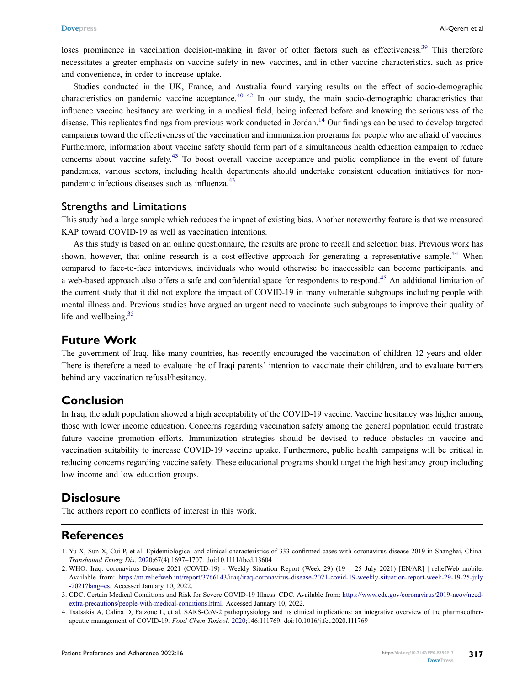<span id="page-10-4"></span>loses prominence in vaccination decision-making in favor of other factors such as effectiveness.<sup>[39](#page-12-1)</sup> This therefore necessitates a greater emphasis on vaccine safety in new vaccines, and in other vaccine characteristics, such as price and convenience, in order to increase uptake.

<span id="page-10-5"></span>Studies conducted in the UK, France, and Australia found varying results on the effect of socio-demographic characteristics on pandemic vaccine acceptance. $40-42$  $40-42$  In our study, the main socio-demographic characteristics that influence vaccine hesitancy are working in a medical field, being infected before and knowing the seriousness of the disease. This replicates findings from previous work conducted in Jordan.<sup>[14](#page-11-9)</sup> Our findings can be used to develop targeted campaigns toward the effectiveness of the vaccination and immunization programs for people who are afraid of vaccines. Furthermore, information about vaccine safety should form part of a simultaneous health education campaign to reduce concerns about vaccine safety.[43](#page-12-4) To boost overall vaccine acceptance and public compliance in the event of future pandemics, various sectors, including health departments should undertake consistent education initiatives for non-pandemic infectious diseases such as influenza.<sup>[43](#page-12-4)</sup>

## <span id="page-10-6"></span>Strengths and Limitations

This study had a large sample which reduces the impact of existing bias. Another noteworthy feature is that we measured KAP toward COVID-19 as well as vaccination intentions.

<span id="page-10-7"></span>As this study is based on an online questionnaire, the results are prone to recall and selection bias. Previous work has shown, however, that online research is a cost-effective approach for generating a representative sample.<sup>[44](#page-12-5)</sup> When compared to face-to-face interviews, individuals who would otherwise be inaccessible can become participants, and a web-based approach also offers a safe and confidential space for respondents to respond.<sup>[45](#page-12-6)</sup> An additional limitation of the current study that it did not explore the impact of COVID-19 in many vulnerable subgroups including people with mental illness and. Previous studies have argued an urgent need to vaccinate such subgroups to improve their quality of life and wellbeing. $35$ 

## **Future Work**

The government of Iraq, like many countries, has recently encouraged the vaccination of children 12 years and older. There is therefore a need to evaluate the of Iraqi parents' intention to vaccinate their children, and to evaluate barriers behind any vaccination refusal/hesitancy.

# **Conclusion**

In Iraq, the adult population showed a high acceptability of the COVID-19 vaccine. Vaccine hesitancy was higher among those with lower income education. Concerns regarding vaccination safety among the general population could frustrate future vaccine promotion efforts. Immunization strategies should be devised to reduce obstacles in vaccine and vaccination suitability to increase COVID-19 vaccine uptake. Furthermore, public health campaigns will be critical in reducing concerns regarding vaccine safety. These educational programs should target the high hesitancy group including low income and low education groups.

# **Disclosure**

The authors report no conflicts of interest in this work.

# **References**

- <span id="page-10-0"></span>1. Yu X, Sun X, Cui P, et al. Epidemiological and clinical characteristics of 333 confirmed cases with coronavirus disease 2019 in Shanghai, China. *Transbound Emerg Dis*. [2020](#page-0-3);67(4):1697–1707. doi:[10.1111/tbed.13604](https://doi.org/10.1111/tbed.13604)
- <span id="page-10-1"></span>2. WHO. Iraq: coronavirus Disease 2021 (COVID-19) - Weekly Situation Report (Week 29) (19 – 25 July 2021) [EN/AR] | reliefWeb mobile. Available from: [https://m.reliefweb.int/report/3766143/iraq/iraq-coronavirus-disease-2021-covid-19-weekly-situation-report-week-29-19-25-july](https://m.reliefweb.int/report/3766143/iraq/iraq-coronavirus-disease-2021-covid-19-weekly-situation-report-week-29-19-25-july-2021?lang=es) [-2021?lang=es.](https://m.reliefweb.int/report/3766143/iraq/iraq-coronavirus-disease-2021-covid-19-weekly-situation-report-week-29-19-25-july-2021?lang=es) Accessed January 10, 2022.

<span id="page-10-2"></span>3. CDC. Certain Medical Conditions and Risk for Severe COVID-19 Illness. CDC. Available from: [https://www.cdc.gov/coronavirus/2019-ncov/need](https://www.cdc.gov/coronavirus/2019-ncov/need-extra-precautions/people-with-medical-conditions.html)[extra-precautions/people-with-medical-conditions.html](https://www.cdc.gov/coronavirus/2019-ncov/need-extra-precautions/people-with-medical-conditions.html). Accessed January 10, 2022.

<span id="page-10-3"></span>4. Tsatsakis A, Calina D, Falzone L, et al. SARS-CoV-2 pathophysiology and its clinical implications: an integrative overview of the pharmacotherapeutic management of COVID-19. *Food Chem Toxicol*. [2020;](#page-0-4)146:111769. doi:[10.1016/j.fct.2020.111769](https://doi.org/10.1016/j.fct.2020.111769)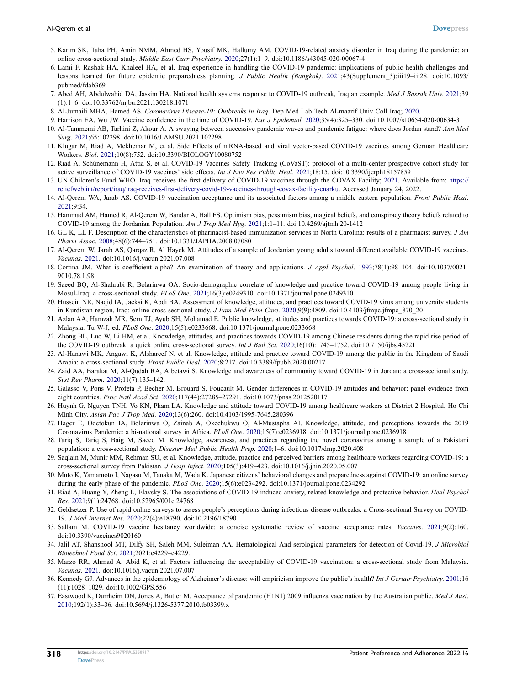- <span id="page-11-0"></span>5. Karim SK, Taha PH, Amin NMM, Ahmed HS, Yousif MK, Hallumy AM. COVID-19-related anxiety disorder in Iraq during the pandemic: an online cross-sectional study. *Middle East Curr Psychiatry*. [2020;](#page-0-5)27(1):1–9. doi:[10.1186/s43045-020-00067-4](https://doi.org/10.1186/s43045-020-00067-4)
- <span id="page-11-1"></span>6. Lami F, Rashak HA, Khaleel HA, et al. Iraq experience in handling the COVID-19 pandemic: implications of public health challenges and lessons learned for future epidemic preparedness planning. *J Public Health (Bangkok)*. [2021;](#page-1-0)43(Supplement\_3):iii19–iii28. doi:[10.1093/](https://doi.org/10.1093/pubmed/fdab369) [pubmed/fdab369](https://doi.org/10.1093/pubmed/fdab369)
- <span id="page-11-2"></span>7. Abed AH, Abdulwahid DA, Jassim HA. National health systems response to COVID-19 outbreak, Iraq an example. *Med J Basrah Univ*. [2021](#page-1-1);39 (1):1–6. doi:[10.33762/mjbu.2021.130218.1071](https://doi.org/10.33762/mjbu.2021.130218.1071)
- <span id="page-11-3"></span>8. Al-Jumaili MHA, Hamed AS. *Coronavirus Disease-19: Outbreaks in Iraq*. Dep Med Lab Tech Al-maarif Univ Coll Iraq; [2020](#page-1-2).
- <span id="page-11-4"></span>9. Harrison EA, Wu JW. Vaccine confidence in the time of COVID-19. *Eur J Epidemiol*. [2020;](#page-1-3)35(4):325–330. doi:[10.1007/s10654-020-00634-3](https://doi.org/10.1007/s10654-020-00634-3)
- <span id="page-11-5"></span>10. Al-Tammemi AB, Tarhini Z, Akour A. A swaying between successive pandemic waves and pandemic fatigue: where does Jordan stand? *Ann Med Surg*. [2021](#page-1-4);65:102298. doi:[10.1016/J.AMSU.2021.102298](https://doi.org/10.1016/J.AMSU.2021.102298)
- <span id="page-11-6"></span>11. Klugar M, Riad A, Mekhemar M, et al. Side Effects of mRNA-based and viral vector-based COVID-19 vaccines among German Healthcare Workers. *Biol*. [2021](#page-1-5);10(8):752. doi:[10.3390/BIOLOGY10080752](https://doi.org/10.3390/BIOLOGY10080752)
- <span id="page-11-7"></span>12. Riad A, Schünemann H, Attia S, et al. COVID-19 Vaccines Safety Tracking (CoVaST): protocol of a multi-center prospective cohort study for active surveillance of COVID-19 vaccines' side effects. *Int J Env Res Public Heal*. [2021](#page-1-6);18:15. doi:[10.3390/ijerph18157859](https://doi.org/10.3390/ijerph18157859)
- <span id="page-11-8"></span>13. UN Children's Fund WHO. Iraq receives the first delivery of COVID-19 vaccines through the COVAX Facility; [2021.](#page-1-7) Available from: [https://](https://reliefweb.int/report/iraq/iraq-receives-first-delivery-covid-19-vaccines-through-covax-facility-enarku) [reliefweb.int/report/iraq/iraq-receives-first-delivery-covid-19-vaccines-through-covax-facility-enarku](https://reliefweb.int/report/iraq/iraq-receives-first-delivery-covid-19-vaccines-through-covax-facility-enarku). Accessed January 24, 2022.
- <span id="page-11-9"></span>14. Al-Qerem WA, Jarab AS. COVID-19 vaccination acceptance and its associated factors among a middle eastern population. *Front Public Heal*. [2021;](#page-1-8)9:34.
- <span id="page-11-10"></span>15. Hammad AM, Hamed R, Al-Qerem W, Bandar A, Hall FS. Optimism bias, pessimism bias, magical beliefs, and conspiracy theory beliefs related to COVID-19 among the Jordanian Population. *Am J Trop Med Hyg*. [2021](#page-1-9);1:1–11. doi:[10.4269/ajtmh.20-1412](https://doi.org/10.4269/ajtmh.20-1412)
- <span id="page-11-11"></span>16. GL K, LL F. Description of the characteristics of pharmacist-based immunization services in North Carolina: results of a pharmacist survey. *J Am Pharm Assoc*. [2008](#page-1-8);48(6):744–751. doi:[10.1331/JAPHA.2008.07080](https://doi.org/10.1331/JAPHA.2008.07080)
- <span id="page-11-12"></span>17. Al-Qerem W, Jarab AS, Qarqaz R, Al Hayek M. Attitudes of a sample of Jordanian young adults toward different available COVID-19 vaccines. *Vacunas*. [2021](#page-1-8). doi:[10.1016/j.vacun.2021.07.008](https://doi.org/10.1016/j.vacun.2021.07.008)
- <span id="page-11-13"></span>18. Cortina JM. What is coefficient alpha? An examination of theory and applications. *J Appl Psychol*. [1993](#page-2-0);78(1):98–104. doi:[10.1037/0021-](https://doi.org/10.1037/0021-9010.78.1.98) [9010.78.1.98](https://doi.org/10.1037/0021-9010.78.1.98)
- <span id="page-11-14"></span>19. Saeed BQ, Al-Shahrabi R, Bolarinwa OA. Socio-demographic correlate of knowledge and practice toward COVID-19 among people living in Mosul-Iraq: a cross-sectional study. *PLoS One*. [2021](#page-6-1);16(3):e0249310. doi:[10.1371/journal.pone.0249310](https://doi.org/10.1371/journal.pone.0249310)
- <span id="page-11-15"></span>20. Hussein NR, Naqid IA, Jacksi K, Abdi BA. Assessment of knowledge, attitudes, and practices toward COVID-19 virus among university students in Kurdistan region, Iraq: online cross-sectional study. *J Fam Med Prim Care*. [2020](#page-6-1);9(9):4809. doi:[10.4103/jfmpc.jfmpc\\_870\\_20](https://doi.org/10.4103/jfmpc.jfmpc_870_20)
- <span id="page-11-16"></span>21. Azlan AA, Hamzah MR, Sern TJ, Ayub SH, Mohamad E. Public knowledge, attitudes and practices towards COVID-19: a cross-sectional study in Malaysia. Tu W-J, ed. *PLoS One*. [2020;](#page-6-2)15(5):e0233668. doi:[10.1371/journal.pone.0233668](https://doi.org/10.1371/journal.pone.0233668)
- <span id="page-11-17"></span>22. Zhong BL, Luo W, Li HM, et al. Knowledge, attitudes, and practices towards COVID-19 among Chinese residents during the rapid rise period of the COVID-19 outbreak: a quick online cross-sectional survey. *Int J Biol Sci*. [2020;](#page-6-3)16(10):1745–1752. doi:[10.7150/ijbs.45221](https://doi.org/10.7150/ijbs.45221)
- <span id="page-11-18"></span>23. Al-Hanawi MK, Angawi K, Alshareef N, et al. Knowledge, attitude and practice toward COVID-19 among the public in the Kingdom of Saudi Arabia: a cross-sectional study. *Front Public Heal*. [2020](#page-6-2);8:217. doi:[10.3389/fpubh.2020.00217](https://doi.org/10.3389/fpubh.2020.00217)
- <span id="page-11-19"></span>24. Zaid AA, Barakat M, Al-Qudah RA, Albetawi S. Knowledge and awareness of community toward COVID-19 in Jordan: a cross-sectional study. *Syst Rev Pharm*. [2020](#page-6-4);11(7):135–142.
- <span id="page-11-20"></span>25. Galasso V, Pons V, Profeta P, Becher M, Brouard S, Foucault M. Gender differences in COVID-19 attitudes and behavior: panel evidence from eight countries. *Proc Natl Acad Sci*. [2020](#page-6-5);117(44):27285–27291. doi:[10.1073/pnas.2012520117](https://doi.org/10.1073/pnas.2012520117)
- <span id="page-11-21"></span>26. Huynh G, Nguyen TNH, Vo KN, Pham LA. Knowledge and attitude toward COVID-19 among healthcare workers at District 2 Hospital, Ho Chi Minh City. *Asian Pac J Trop Med*. [2020](#page-6-6);13(6):260. doi:[10.4103/1995-7645.280396](https://doi.org/10.4103/1995-7645.280396)
- <span id="page-11-22"></span>27. Hager E, Odetokun IA, Bolarinwa O, Zainab A, Okechukwu O, Al-Mustapha AI. Knowledge, attitude, and perceptions towards the 2019 Coronavirus Pandemic: a bi-national survey in Africa. *PLoS One*. [2020;](#page-6-7)15(7):e0236918. doi:[10.1371/journal.pone.0236918](https://doi.org/10.1371/journal.pone.0236918)
- <span id="page-11-23"></span>28. Tariq S, Tariq S, Baig M, Saeed M. Knowledge, awareness, and practices regarding the novel coronavirus among a sample of a Pakistani population: a cross-sectional study. *Disaster Med Public Health Prep*. [2020](#page-6-8);1–6. doi:[10.1017/dmp.2020.408](https://doi.org/10.1017/dmp.2020.408)
- <span id="page-11-24"></span>29. Saqlain M, Munir MM, Rehman SU, et al. Knowledge, attitude, practice and perceived barriers among healthcare workers regarding COVID-19: a cross-sectional survey from Pakistan. *J Hosp Infect*. [2020](#page-7-1);105(3):419–423. doi:[10.1016/j.jhin.2020.05.007](https://doi.org/10.1016/j.jhin.2020.05.007)
- <span id="page-11-25"></span>30. Muto K, Yamamoto I, Nagasu M, Tanaka M, Wada K. Japanese citizens' behavioral changes and preparedness against COVID-19: an online survey during the early phase of the pandemic. *PLoS One*. [2020;](#page-7-2)15(6):e0234292. doi:[10.1371/journal.pone.0234292](https://doi.org/10.1371/journal.pone.0234292)
- <span id="page-11-26"></span>31. Riad A, Huang Y, Zheng L, Elavsky S. The associations of COVID-19 induced anxiety, related knowledge and protective behavior. *Heal Psychol Res*. [2021;](#page-7-3)9(1):24768. doi:[10.52965/001c.24768](https://doi.org/10.52965/001c.24768)
- <span id="page-11-27"></span>32. Geldsetzer P. Use of rapid online surveys to assess people's perceptions during infectious disease outbreaks: a Cross-sectional Survey on COVID-19. *J Med Internet Res*. [2020;](#page-7-4)22(4):e18790. doi:[10.2196/18790](https://doi.org/10.2196/18790)
- <span id="page-11-28"></span>33. Sallam M. COVID-19 vaccine hesitancy worldwide: a concise systematic review of vaccine acceptance rates. *Vaccines*. [2021;](#page-8-1)9(2):160. doi:[10.3390/vaccines9020160](https://doi.org/10.3390/vaccines9020160)
- <span id="page-11-29"></span>34. Jalil AT, Shanshool MT, Dilfy SH, Saleh MM, Suleiman AA. Hematological And serological parameters for detection of Covid-19. *J Microbiol Biotechnol Food Sci*. [2021;](#page-8-2)2021:e4229–e4229.
- <span id="page-11-30"></span>35. Marzo RR, Ahmad A, Abid K, et al. Factors influencing the acceptability of COVID-19 vaccination: a cross-sectional study from Malaysia. *Vacunas*. [2021](#page-8-3). doi:[10.1016/j.vacun.2021.07.007](https://doi.org/10.1016/j.vacun.2021.07.007)
- <span id="page-11-31"></span>36. Kennedy GJ. Advances in the epidemiology of Alzheimer's disease: will empiricism improve the public's health? *Int J Geriatr Psychiatry*. [2001](#page-8-4);16 (11):1028–1029. doi:[10.1002/GPS.556](https://doi.org/10.1002/GPS.556)
- <span id="page-11-32"></span>37. Eastwood K, Durrheim DN, Jones A, Butler M. Acceptance of pandemic (H1N1) 2009 influenza vaccination by the Australian public. *Med J Aust*. [2010;](#page-8-5)192(1):33–36. doi:[10.5694/j.1326-5377.2010.tb03399.x](https://doi.org/10.5694/j.1326-5377.2010.tb03399.x)